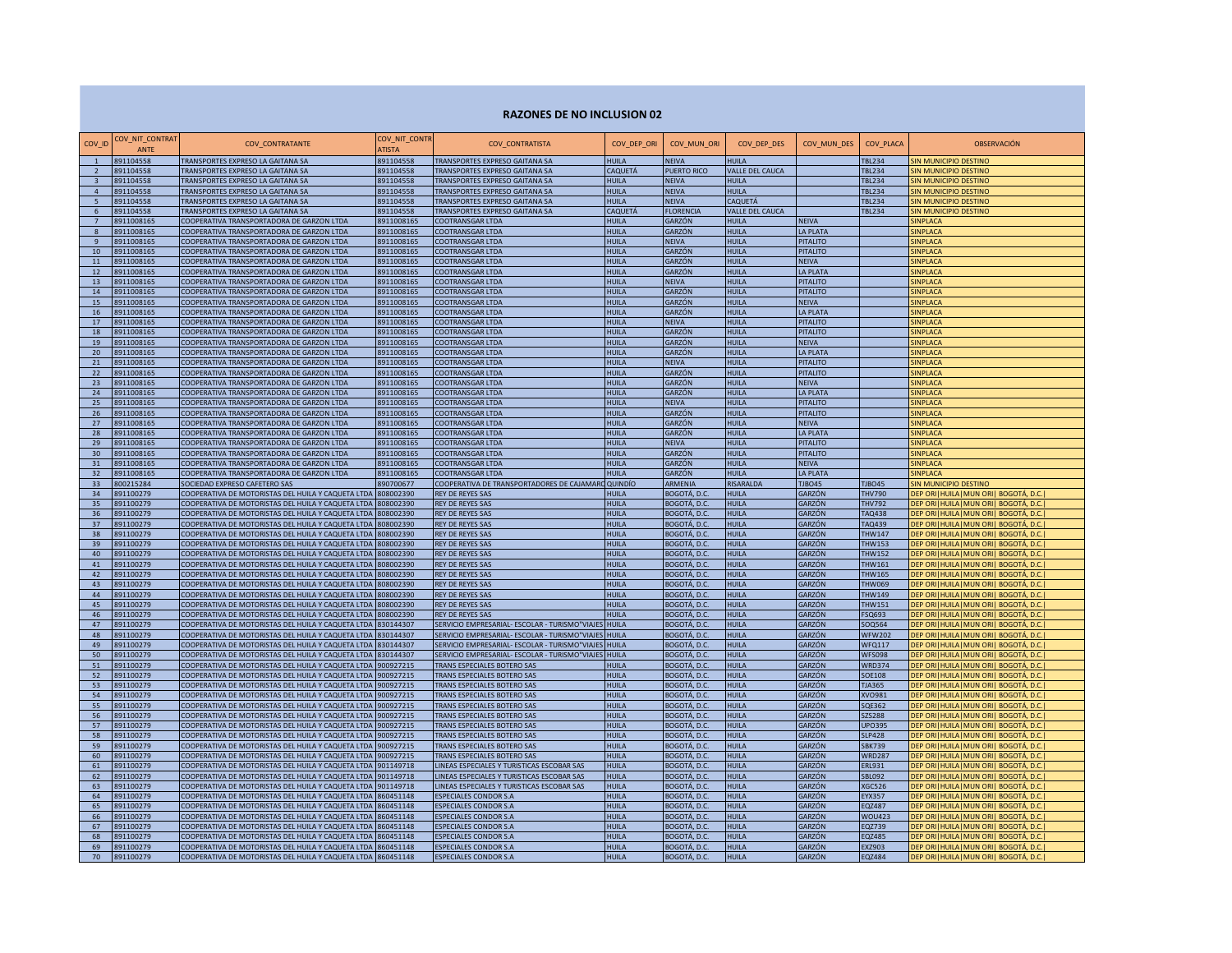## **RAZONES DE NO INCLUSION 02**

| COV_ID                   | COV_NIT_CONTRAT<br><b>ANTF</b> | COV_CONTRATANTE                                                                        | COV_NIT_CONTR<br><b>ATISTA</b> | COV_CONTRATISTA                                  | COV_DEP_ORI           | COV_MUN_ORI             | COV_DEP_DES            | COV_MUN_DES                     | COV_PLACA      | <b>OBSERVACIÓN</b>                       |
|--------------------------|--------------------------------|----------------------------------------------------------------------------------------|--------------------------------|--------------------------------------------------|-----------------------|-------------------------|------------------------|---------------------------------|----------------|------------------------------------------|
| $\overline{1}$           | 891104558                      | TRANSPORTES EXPRESO LA GAITANA SA                                                      | 891104558                      | <b>TRANSPORTES EXPRESO GAITANA SA</b>            | HUII A                | <b>NEIVA</b>            | HUII A                 |                                 | <b>FBL234</b>  | SIN MUNICIPIO DESTINO                    |
| $\overline{\phantom{a}}$ | 891104558                      | TRANSPORTES EXPRESO LA GAITANA SA                                                      | 891104558                      | <b>TRANSPORTES EXPRESO GAITANA SA</b>            | CAQUETÁ               | PUERTO RICO             | VALLE DEL CAUCA        |                                 | <b>TRI 234</b> | SIN MUNICIPIO DESTINO                    |
| $\mathbf{3}$             | 891104558                      | TRANSPORTES EXPRESO LA GAITANA SA                                                      | 891104558                      | <b>TRANSPORTES EXPRESO GAITANA SA</b>            | <b>HUILA</b>          | <b>NEIVA</b>            | <b>HUILA</b>           |                                 | <b>FBL234</b>  | IN MUNICIPIO DESTINO                     |
| $\overline{4}$           | 891104558                      | TRANSPORTES EXPRESO LA GAITANA SA                                                      | 891104558                      | <b>TRANSPORTES EXPRESO GAITANA SA</b>            | <b>HUILA</b>          | <b>NEIVA</b>            | <b>HUILA</b>           |                                 | <b>FBL234</b>  | IN MUNICIPIO DESTINO                     |
| $\overline{5}$           | 891104558                      | <b>TRANSPORTES EXPRESO LA GAITANA SA</b>                                               | 891104558                      | <b>TRANSPORTES EXPRESO GAITANA SA</b>            | HUII A                | <b>NEIVA</b>            | CAQUETÁ                |                                 | <b>FBI 234</b> | IN MUNICIPIO DESTINO                     |
| 6 <sup>5</sup>           | 891104558                      | <b>TRANSPORTES EXPRESO LA GAITANA SA</b>                                               | 891104558                      | <b>TRANSPORTES EXPRESO GAITANA SA</b>            | CAQUETÁ               | <b>FLORENCIA</b>        | VALLE DEL CAUCA        |                                 | <b>FBI 234</b> | IN MUNICIPIO DESTINO                     |
| $\overline{7}$           | 8911008165                     | COOPERATIVA TRANSPORTADORA DE GARZON LTDA                                              | 8911008165                     | COOTRANSGAR LTDA                                 | HUILA                 | GARZÓN                  | HUILA                  | NEIVA                           |                | <b>INPLACA</b>                           |
| 8                        | 8911008165                     | COOPERATIVA TRANSPORTADORA DE GARZON LTDA                                              | 3911008165                     | COOTRANSGAR LTDA                                 | HUILA                 | GARZÓN                  | HUILA                  | LA PLATA                        |                | <b>INPLACA</b>                           |
| $\mathbf{q}$             | 8911008165                     | COOPERATIVA TRANSPORTADORA DE GARZON LTDA                                              | 3911008165                     | COOTRANSGAR LTDA                                 | HUILA                 | <b>NEIVA</b>            | HUILA                  | PITALITO                        |                | <b>INPLACA</b>                           |
| 10 <sup>1</sup>          | 8911008165                     | COOPERATIVA TRANSPORTADORA DE GARZON LTDA                                              | 8911008165                     | COOTRANSGAR LTDA                                 | HUILA                 | GARZÓN                  | <b>HUILA</b>           | PITALITO                        |                | <b>INPLACA</b>                           |
| 11                       | 8911008165                     | COOPERATIVA TRANSPORTADORA DE GARZON LTDA                                              | 8911008165                     | COOTRANSGAR LTDA                                 | HUII A                | GARZÓN                  | <b>HUILA</b>           | <b>NEIVA</b>                    |                | <b>INPLACA</b>                           |
| 12                       | 8911008165                     | COOPERATIVA TRANSPORTADORA DE GARZON LTDA                                              | 8911008165                     | COOTRANSGAR LTDA                                 | <b>HUILA</b>          | GARZÓN                  | HUILA                  | LA PLATA                        |                | <b>INPLACA</b>                           |
| 13                       | 8911008165                     | COOPERATIVA TRANSPORTADORA DE GARZON LTDA                                              | 8911008165                     | COOTRANSGAR LTDA                                 | <b>HUILA</b>          | <b>NEIVA</b>            | HUII A                 | <b>PITALITO</b>                 |                | SINPLACA                                 |
| 14                       | 8911008165                     | COOPERATIVA TRANSPORTADORA DE GARZON LTDA                                              | 8911008165                     | COOTRANSGAR LTDA                                 | <b>HUILA</b>          | GARZÓN                  | <b>HUILA</b>           | <b>PITALITO</b>                 |                | <b>SINPLACA</b>                          |
| 15                       | 8911008165                     | COOPERATIVA TRANSPORTADORA DE GARZON LTDA                                              | 8911008165                     | COOTRANSGAR LTDA                                 | <b>HUILA</b>          | GARZÓN                  | <b>HUILA</b>           | <b>NEIVA</b>                    |                | <b>SINPLACA</b>                          |
| 16                       | 8911008165                     | COOPERATIVA TRANSPORTADORA DE GARZON LTDA                                              | 8911008165                     | COOTRANSGAR LTDA                                 | <b>HUILA</b>          | GARZÓN                  | <b>HUILA</b>           | <b>LA PLATA</b>                 |                | <b>SINPLACA</b>                          |
| 17                       | 8911008165                     | COOPERATIVA TRANSPORTADORA DE GARZON LTDA                                              | 8911008165                     | COOTRANSGAR LTDA                                 | <b>HUILA</b>          | <b>NEIVA</b>            | HUII A                 | <b>PITALITO</b>                 |                | <b>SINPLACA</b>                          |
| 18<br>19                 | 8911008165<br>3911008165       | COOPERATIVA TRANSPORTADORA DE GARZON LTDA                                              | 8911008165                     | COOTRANSGAR LTDA                                 | HUILA<br>HUILA        | GARZÓN<br>GARZÓN        | HUILA<br>HUILA         | <b>PITALITO</b><br><b>NEIVA</b> |                | <b>SINPLACA</b><br><b>SINPLACA</b>       |
|                          |                                | COOPERATIVA TRANSPORTADORA DE GARZON LTDA                                              | 3911008165                     | COOTRANSGAR LTDA                                 |                       | GARZÓN                  | HUILA                  |                                 |                |                                          |
| 20                       | 3911008165                     | COOPERATIVA TRANSPORTADORA DE GARZON LTDA                                              | 3911008165                     | COOTRANSGAR LTDA                                 | HUILA                 |                         |                        | LA PLATA                        |                | <b>INPLACA</b>                           |
| 21<br>22                 | 8911008165                     | COOPERATIVA TRANSPORTADORA DE GARZON LTDA                                              | 8911008165                     | COOTRANSGAR LTDA                                 | <b>HUILA</b>          | <b>NEIVA</b>            | HUILA                  | <b>PITALITO</b>                 |                | SINPLACA                                 |
|                          | 8911008165                     | COOPERATIVA TRANSPORTADORA DE GARZON LTDA                                              | 8911008165                     | COOTRANSGAR LTDA                                 | <b>HUILA</b>          | GARZÓN                  | HUILA                  | <b>PITALITO</b>                 |                | SINPLACA                                 |
| 23                       | 8911008165                     | COOPERATIVA TRANSPORTADORA DE GARZON LTDA                                              | 8911008165                     | COOTRANSGAR LTDA                                 | <b>HUILA</b>          | <b>GARZÓN</b>           | HUILA                  | <b>NEIVA</b>                    |                | SINPLACA                                 |
| 24                       | 8911008165                     | COOPERATIVA TRANSPORTADORA DE GARZON LTDA                                              | 8911008165                     | COOTRANSGAR LTDA                                 | <b>HUILA</b>          | <b>GARZÓN</b>           | <b>HUILA</b>           | <b>LA PLATA</b>                 |                | SINPLACA                                 |
| 25                       | 8911008165<br>3911008165       | COOPERATIVA TRANSPORTADORA DE GARZON LTDA                                              | 8911008165                     | COOTRANSGAR LTDA                                 | <b>HUILA</b>          | <b>NEIVA</b>            | <b>HUILA</b><br>HUII A | <b>PITALITO</b>                 |                | <b>INPLACA</b>                           |
| 26                       | 3911008165                     | COOPERATIVA TRANSPORTADORA DE GARZON LTDA                                              | 8911008165<br>8911008165       | COOTRANSGAR LTDA                                 | HUILA                 | GARZÓN<br><b>GARZÓN</b> | HUII A                 | <b>PITALITO</b>                 |                | <b>INPLACA</b>                           |
| 27<br>28                 | 3911008165                     | COOPERATIVA TRANSPORTADORA DE GARZON LTDA<br>COOPERATIVA TRANSPORTADORA DE GARZON LTDA | 8911008165                     | COOTRANSGAR LTDA<br>COOTRANSGAR LTDA             | <b>HUILA</b><br>HUILA | GARZÓN                  | HUII A                 | <b>NEIVA</b><br>LA PLATA        |                | <b>INPLACA</b><br><b>INPLACA</b>         |
| 29                       | 3911008165                     | COOPERATIVA TRANSPORTADORA DE GARZON LTDA                                              | 8911008165                     | COOTRANSGAR LTDA                                 | HUILA                 | <b>NEIVA</b>            | HUILA                  | PITALITO                        |                | <b>INPLACA</b>                           |
| 30                       | 911008165                      | COOPERATIVA TRANSPORTADORA DE GARZON LTDA                                              | 3911008165                     | COOTRANSGAR LTDA                                 | HUILA                 | GARZÓN                  | <b>HUILA</b>           | PITALITO                        |                | <b>INPLACA</b>                           |
| 31                       | 3911008165                     | COOPERATIVA TRANSPORTADORA DE GARZON LTDA                                              | 3911008165                     | COOTRANSGAR LTDA                                 | HUILA                 | GARZÓN                  | <b>HUILA</b>           | NEIVA                           |                | <b>INPLACA</b>                           |
| 32                       | 3911008165                     | COOPERATIVA TRANSPORTADORA DE GARZON LTDA                                              | 8911008165                     | COOTRANSGAR LTDA                                 | <b>HUILA</b>          | GARZÓN                  | <b>HUILA</b>           | LA PLATA                        |                | <b>INPLACA</b>                           |
| 33                       | 800215284                      | SOCIEDAD EXPRESO CAFETERO SAS                                                          | 890700677                      | COOPERATIVA DE TRANSPORTADORES DE CAJAMARO       | <b>QUINDÍO</b>        | ARMENIA                 | RISARALDA              | <b>TJBO45</b>                   | <b>TJBO45</b>  | SIN MUNICIPIO DESTINO                    |
| 34                       | 891100279                      | COOPERATIVA DE MOTORISTAS DEL HUILA Y CAQUETA LTDA 808002390                           |                                | REY DE REYES SAS                                 | <b>HUILA</b>          | BOGOTÁ, D.C.            | <b>HUILA</b>           | GARZÓN                          | THV790         | DEP ORI   HUILA   MUN ORI   BOGOTÁ, D.C. |
| 35                       | 891100279                      | COOPERATIVA DE MOTORISTAS DEL HUILA Y CAQUETA LTDA 808002390                           |                                | <b>REY DE REYES SAS</b>                          | <b>HUILA</b>          | BOGOTÁ, D.C.            | <b>HUILA</b>           | GARZÓN                          | THV792         | DEP ORI   HUILA   MUN ORI   BOGOTÁ, D.C. |
| 36                       | 891100279                      | COOPERATIVA DE MOTORISTAS DEL HUILA Y CAQUETA LTDA 808002390                           |                                | <b>REY DE REYES SAS</b>                          | <b>HUILA</b>          | BOGOTÁ, D.C.            | <b>HUILA</b>           | <b>GARZÓN</b>                   | TAQ438         | DEP ORI HUILA   MUN ORI   BOGOTÁ, D.C.   |
| 37                       | 891100279                      | COOPERATIVA DE MOTORISTAS DEL HUILA Y CAQUETA LTDA                                     | 808002390                      | <b>REY DE REYES SAS</b>                          | <b>HUILA</b>          | BOGOTÁ, D.C.            | <b>HUILA</b>           | GARZÓN                          | <b>TAQ439</b>  | DEP ORI   HUILA   MUN ORI   BOGOTÁ, D.C. |
| 38                       | 391100279                      | COOPERATIVA DE MOTORISTAS DEL HUILA Y CAQUETA LTDA                                     | 808002390                      | <b>REY DE REYES SAS</b>                          | <b>HUILA</b>          | BOGOTÁ, D.C.            | HUILA                  | <b>GARZÓN</b>                   | <b>THW147</b>  | DEP ORI HUILA MUN ORI  BOGOTÁ, D.C.      |
| 39                       | 391100279                      | COOPERATIVA DE MOTORISTAS DEL HUILA Y CAQUETA LTDA                                     | 808002390                      | <b>REY DE REYES SAS</b>                          | <b>HUILA</b>          | BOGOTÁ, D.C.            | HUILA                  | GARZÓN                          | <b>THW153</b>  | DEP ORI HUILA   MUN ORI   BOGOTÁ, D.C.   |
| 40                       | 391100279                      | COOPERATIVA DE MOTORISTAS DEL HUILA Y CAQUETA LTDA                                     | 308002390                      | <b>REY DE REYES SAS</b>                          | HUILA                 | <b>BOGOTÁ, D.C.</b>     | HUILA                  | GARZÓN                          | <b>THW152</b>  | DEP ORITHUILATMUN ORIT BOGOTÁ, D.C.      |
| 41                       | 391100279                      | COOPERATIVA DE MOTORISTAS DEL HUILA Y CAQUETA LTDA                                     | 308002390                      | REY DE REYES SAS                                 | <b>HUILA</b>          | BOGOTÁ, D.C.            | <b>HUILA</b>           | GARZÓN                          | <b>THW161</b>  | DEP ORI   HUILA   MUN ORI   BOGOTÁ, D.C. |
| 42                       | 391100279                      | COOPERATIVA DE MOTORISTAS DEL HUILA Y CAQUETA LTDA                                     | 808002390                      | REY DE REYES SAS                                 | <b>HUILA</b>          | BOGOTÁ, D.C.            | HUILA                  | GARZÓN                          | THW165         | DEP ORI   HUILA   MUN ORI   BOGOTÁ, D.C. |
| 43                       | 391100279                      | COOPERATIVA DE MOTORISTAS DEL HUILA Y CAQUETA LTDA                                     | 808002390                      | REY DE REYES SAS                                 | <b>HUILA</b>          | BOGOTÁ, D.C.            | HUILA                  | GARZÓN                          | <b>THW069</b>  | DEP ORI   HUILA   MUN ORI   BOGOTÁ, D.C. |
| 44                       | 391100279                      | COOPERATIVA DE MOTORISTAS DEL HUILA Y CAQUETA LTDA                                     | 808002390                      | REY DE REYES SAS                                 | <b>HUILA</b>          | BOGOTÁ, D.C.            | HUILA                  | GARZÓN                          | <b>THW149</b>  | DEP ORI   HUILA   MUN ORI   BOGOTÁ, D.C. |
| 45                       | 891100279                      | COOPERATIVA DE MOTORISTAS DEL HUILA Y CAQUETA LTDA 808002390                           |                                | REY DE REYES SAS                                 | <b>HUILA</b>          | BOGOTÁ, D.C.            | HUILA                  | GARZÓN                          | THW151         | DEP ORI   HUILA   MUN ORI   BOGOTÁ, D.C. |
| 46                       | 891100279                      | COOPERATIVA DE MOTORISTAS DEL HUILA Y CAQUETA LTDA 808002390                           |                                | REY DE REYES SAS                                 | <b>HUILA</b>          | BOGOTÁ, D.C.            | HUILA                  | GARZÓN                          | <b>FSQ693</b>  | DEP ORI   HUILA   MUN ORI   BOGOTÁ, D.C. |
| 47                       | 391100279                      | COOPERATIVA DE MOTORISTAS DEL HUILA Y CAQUETA LTDA                                     | 830144307                      | SERVICIO EMPRESARIAL- ESCOLAR - TURISMO"VIAJES   | HUILA                 | BOGOTÁ, D.C.            | HUII A                 | GARZÓN                          | SOQ564         | DEP ORI HUILA MUN ORI  BOGOTÁ, D.C.      |
| 48                       | 891100279                      | COOPERATIVA DE MOTORISTAS DEL HUILA Y CAQUETA LTDA                                     | 830144307                      | SERVICIO EMPRESARIAI - ESCOLAR - TURISMO "VIAJES | <b>ALJILA</b>         | BOGOTÁ, D.C.            | HUII A                 | GARZÓN                          | <b>WFW202</b>  | DEP ORI   HUILA   MUN ORI   BOGOTÁ, D.C. |
| 49                       | 391100279                      | COOPERATIVA DE MOTORISTAS DEL HUILA Y CAQUETA LTDA                                     | 830144307                      | ERVICIO EMPRESARIAL- ESCOLAR - TURISMO"VIAJES    | <b>ALJILA</b>         | BOGOTÁ, D.C.            | HUII A                 | GARZÓN                          | <b>WFO117</b>  | EP ORI HUILA MUN ORI  BOGOTÁ, D.C.       |
| 50                       | 391100279                      | COOPERATIVA DE MOTORISTAS DEL HUILA Y CAQUETA LTDA                                     | 830144307                      | ERVICIO EMPRESARIAL- ESCOLAR - TURISMO"VIAJES    | <b>IUILA</b>          | BOGOTÁ, D.C.            | HUII A                 | <b>GARZÓN</b>                   | <b>WFS098</b>  | EP ORI HUILA   MUN ORI   BOGOTÁ, D.C.    |
| 51                       | 391100279                      | COOPERATIVA DE MOTORISTAS DEL HUILA Y CAQUETA LTDA                                     | 900927215                      | RANS ESPECIALES BOTERO SAS                       | <b>AULA</b>           | BOGOTÁ, D.C.            | HUII A                 | GARZÓN                          | <b>WRD374</b>  | DEP ORI   HUILA   MUN ORI   BOGOTÁ, D.C. |
| 52                       | 391100279                      | COOPERATIVA DE MOTORISTAS DEL HUILA Y CAQUETA LTDA 900927215                           |                                | <b>TRANS ESPECIALES BOTERO SAS</b>               | HUII A                | BOGOTÁ, D.C.            | HUII A                 | GARZÓN                          | SOE108         | DEP ORI   HUILA   MUN ORI   BOGOTÁ, D.C. |
| 53                       | 391100279                      | COOPERATIVA DE MOTORISTAS DEL HUILA Y CAQUETA LTDA 900927215                           |                                | RANS ESPECIALES BOTERO SAS                       | HUII A                | BOGOTÁ, D.C.            | HUILA                  | GARZÓN                          | <b>TJA365</b>  | DEP ORI   HUILA   MUN ORI   BOGOTÁ, D.C. |
| 54                       | 391100279                      | COOPERATIVA DE MOTORISTAS DEL HUILA Y CAQUETA LTDA 900927215                           |                                | <b>TRANS ESPECIALES BOTERO SAS</b>               | HUILA                 | BOGOTÁ, D.C.            | HUILA                  | GARZÓN                          | <b>KVO981</b>  | DEP ORI HUILA MUN ORI  BOGOTÁ, D.C.      |
| 55                       | 891100279                      | COOPERATIVA DE MOTORISTAS DEL HUILA Y CAQUETA LTDA 900927215                           |                                | <b>TRANS ESPECIALES BOTERO SAS</b>               | <b>HUILA</b>          | BOGOTÁ, D.C.            | HUILA                  | GARZÓN                          | SQE362         | DEP ORI   HUILA   MUN ORI   BOGOTÁ, D.C. |
| 56                       | 891100279                      | COOPERATIVA DE MOTORISTAS DEL HUILA Y CAQUETA LTDA 900927215                           |                                | <b>TRANS ESPECIALES BOTERO SAS</b>               | <b>HUILA</b>          | BOGOTÁ, D.C.            | HUILA                  | GARZÓN                          | <b>SZS288</b>  | DEP ORI   HUILA   MUN ORI   BOGOTÁ, D.C. |
| 57                       | 891100279                      | COOPERATIVA DE MOTORISTAS DEL HUILA Y CAQUETA LTDA 900927215                           |                                | <b>TRANS ESPECIALES BOTERO SAS</b>               | <b>HUILA</b>          | BOGOTÁ, D.C.            | <b>HUILA</b>           | <b>GARZÓN</b>                   | <b>UPO395</b>  | DEP ORI   HUILA   MUN ORI   BOGOTÁ, D.C. |
| 58                       | 891100279                      | COOPERATIVA DE MOTORISTAS DEL HUILA Y CAQUETA LTDA 900927215                           |                                | <b>TRANS ESPECIALES BOTERO SAS</b>               | <b>HUILA</b>          | BOGOTÁ, D.C.            | <b>HUILA</b>           | GARZÓN                          | <b>SLP428</b>  | DEP ORI   HUILA   MUN ORI   BOGOTÁ, D.C. |
| 59                       | 891100279                      | COOPERATIVA DE MOTORISTAS DEL HUILA Y CAQUETA LTDA                                     | 900927215                      | <b>TRANS ESPECIALES BOTERO SAS</b>               | HUII A                | BOGOTÁ, D.C.            | HUII A                 | <b>GARZÓN</b>                   | SBK739         | DEP ORI   HUILA   MUN ORI   BOGOTÁ, D.C. |
| 60                       | 891100279                      | COOPERATIVA DE MOTORISTAS DEL HUILA Y CAQUETA LTDA 900927215                           |                                | <b>TRANS ESPECIALES BOTERO SAS</b>               | HUILA                 | BOGOTÁ, D.C.            | HUILA                  | <b>GARZÓN</b>                   | <b>WRD287</b>  | DEP ORI   HUILA   MUN ORI   BOGOTÁ, D.C. |
| 61                       | 391100279                      | COOPERATIVA DE MOTORISTAS DEL HUILA Y CAQUETA LTDA                                     | 901149718                      | INEAS ESPECIALES Y TURISTICAS ESCOBAR SAS        | HUILA                 | BOGOTÁ, D.C.            | HUILA                  | GARZÓN                          | <b>ERL931</b>  | DEP ORITHUILATMUN ORIT BOGOTÁ, D.C.      |
| 62                       | 391100279                      | COOPERATIVA DE MOTORISTAS DEL HUILA Y CAQUETA LTDA 901149718                           |                                | INEAS ESPECIALES Y TURISTICAS ESCOBAR SAS        | <b>HUILA</b>          | BOGOTÁ, D.C.            | HUILA                  | GARZÓN                          | <b>SBL092</b>  | DEP ORI   HUILA   MUN ORI   BOGOTÁ, D.C. |
| 63                       | 391100279                      | COOPERATIVA DE MOTORISTAS DEL HUILA Y CAQUETA LTDA 901149718                           |                                | LINEAS ESPECIALES Y TURISTICAS ESCOBAR SAS       | <b>HUILA</b>          | BOGOTÁ, D.C.            | HUILA                  | GARZÓN                          | <b>XGC526</b>  | DEP ORI   HUILA   MUN ORI   BOGOTÁ, D.C. |
| 64                       | 391100279                      | COOPERATIVA DE MOTORISTAS DEL HUILA Y CAQUETA LTDA 860451148                           |                                | <b>ESPECIALES CONDOR S.A</b>                     | HUILA                 | BOGOTÁ, D.C.            | HUILA                  | GARZÓN                          | <b>EYX357</b>  | DEP ORI   HUILA   MUN ORI   BOGOTÁ, D.C. |
| 65                       | 391100279                      | COOPERATIVA DE MOTORISTAS DEL HUILA Y CAQUETA LTDA 860451148                           |                                | <b>ESPECIALES CONDOR S.A</b>                     | HUILA                 | BOGOTÁ, D.C.            | HUILA                  | GARZÓN                          | EQZ487         | DEP ORI   HUILA   MUN ORI   BOGOTÁ, D.C. |
| 66                       | 891100279                      | COOPERATIVA DE MOTORISTAS DEL HUILA Y CAQUETA LTDA 860451148                           |                                | <b>ESPECIALES CONDOR S.A</b>                     | <b>HUILA</b>          | BOGOTÁ, D.C             | <b>HUILA</b>           | GARZÓN                          | <b>WOU423</b>  | DEP ORI   HUILA   MUN ORI   BOGOTÁ, D.C. |
| 67                       | 891100279                      | COOPERATIVA DE MOTORISTAS DEL HUILA Y CAQUETA LTDA 860451148                           |                                | <b>ESPECIALES CONDOR S.A</b>                     | <b>HUILA</b>          | BOGOTÁ, D.C.            | HUILA                  | GARZÓN                          | EQZ739         | DEP ORI   HUILA   MUN ORI   BOGOTÁ, D.C. |
| 68                       | 391100279                      | COOPERATIVA DE MOTORISTAS DEL HUILA Y CAQUETA LTDA 860451148                           |                                | <b>ESPECIALES CONDOR S.A</b>                     | HUILA                 | 3OGOTÁ, D.C             | HUILA                  | GARZÓN                          | EQZ485         | DEP ORI   HUILA   MUN ORI   BOGOTÁ, D.C  |
| 69                       | 891100279                      | COOPERATIVA DE MOTORISTAS DEL HUILA Y CAQUETA LTDA 860451148                           |                                | <b>ESPECIALES CONDOR S.A</b>                     | <b>HUILA</b>          | BOGOTÁ, D.C.            | HUII A                 | GARZÓN                          | <b>EX7903</b>  | DEP ORI   HUILA   MUN ORI   BOGOTÁ, D.C. |
| 70                       | 891100279                      | COOPERATIVA DE MOTORISTAS DEL HUILA Y CAQUETA LTDA 860451148                           |                                | <b>ESPECIALES CONDOR S.A</b>                     | HUII A                | BOGOTÁ, D.C.            | HUII A                 | GARZÓN                          | FO7484         | DEP ORI   HUILA   MUN ORI   BOGOTÁ, D.C. |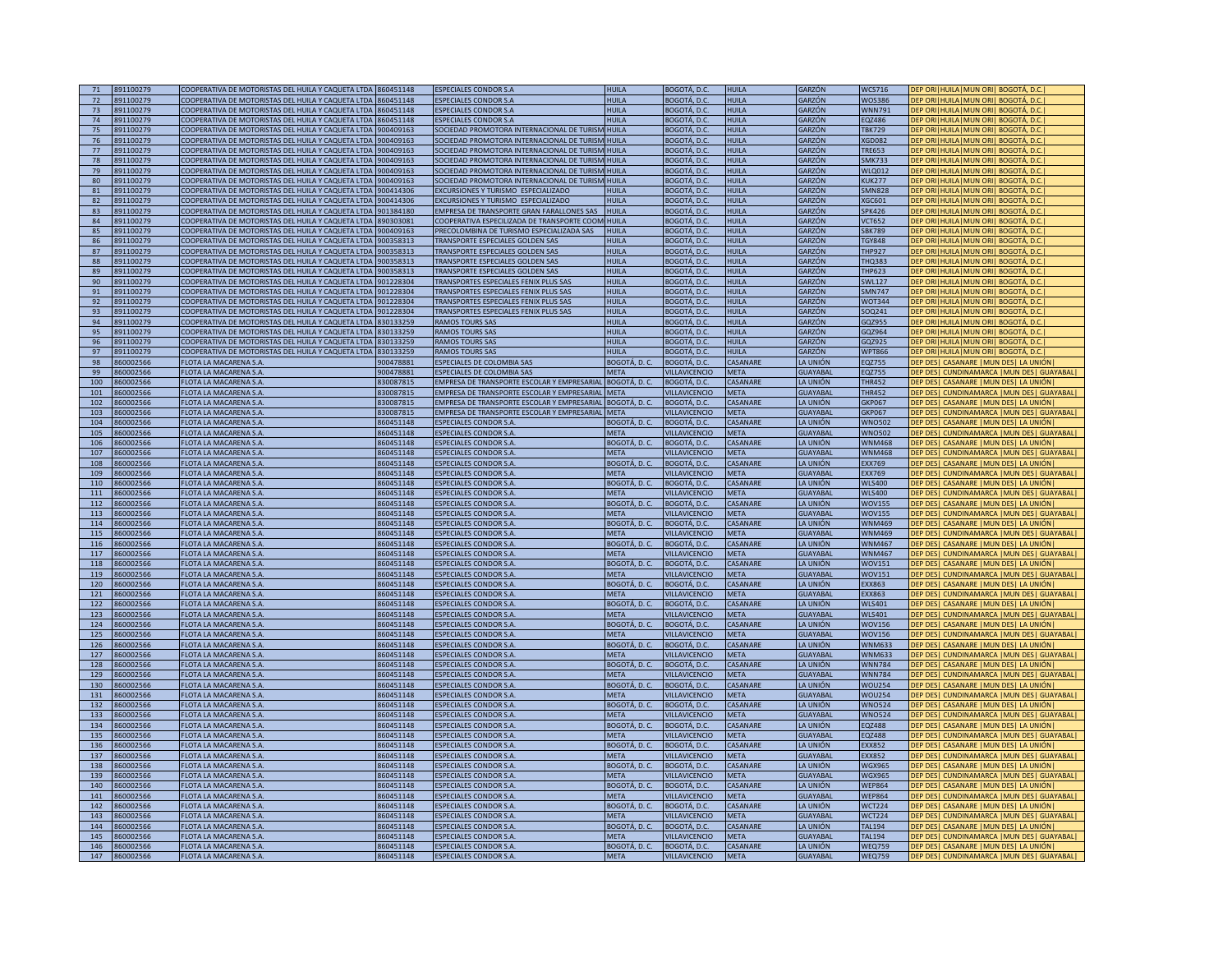| 71<br>72   |                      |                                                         | 860451148            | <b>ESPECIALES CONDOR S.A</b>                                  | <b>HUILA</b>                        | BOGOTÁ, D.C.                                | <b>HUILA</b>     | GARZÓN               | <b>WCS716</b>                  | DEP ORI HUILA   MUN ORI   BOGOTÁ, D.C                                                |
|------------|----------------------|---------------------------------------------------------|----------------------|---------------------------------------------------------------|-------------------------------------|---------------------------------------------|------------------|----------------------|--------------------------------|--------------------------------------------------------------------------------------|
|            | 891100279            | COOPERATIVA DE MOTORISTAS DEL HUILA Y CAQUETA LTDA      |                      |                                                               |                                     |                                             |                  |                      |                                |                                                                                      |
|            | 891100279            | COOPERATIVA DE MOTORISTAS DEL HUILA Y CAQUETA LTDA      | 860451148            | <b>ESPECIALES CONDOR S.A</b>                                  | <b>HUILA</b>                        | BOGOTÁ, D.C.                                | <b>HUILA</b>     | GARZÓN               | <b>WOS386</b>                  | DEP ORITHUILATMUN ORIT BOGOTÁ, D.C                                                   |
| 73         | 891100279            | COOPERATIVA DE MOTORISTAS DEL HUILA Y CAQUETA LTDA      | 860451148            | <b>ESPECIALES CONDOR S.A</b>                                  | HUII A                              | BOGOTÁ, D.C.                                | <b>HUILA</b>     | GARZÓN               | <b>WNN791</b>                  | DEP ORI HUILA MUN ORI  BOGOTÁ, D.C.                                                  |
| 74         | 891100279            | COOPERATIVA DE MOTORISTAS DEL HUILA Y CAQUETA LTDA      | 860451148            | <b>ESPECIALES CONDOR S.A</b>                                  | HUII A                              | <b>BOGOTÁ, D.C</b>                          | <b>HUILA</b>     | GARZÓN               | EQZ486                         | DEP ORI HUILA MUN ORI  BOGOTÁ, D.C.                                                  |
|            |                      |                                                         |                      |                                                               |                                     |                                             |                  |                      |                                |                                                                                      |
| 75         | 891100279            | COOPERATIVA DE MOTORISTAS DEL HUILA Y CAQUETA LTDA      | 900409163            | SOCIEDAD PROMOTORA INTERNACIONAL DE TURISM HUILA              |                                     | BOGOTÁ, D.C.                                | <b>HUILA</b>     | GARZÓN               | <b>TBK729</b>                  | DEP ORI HUILA   MUN ORI   BOGOTÁ, D.C.                                               |
| 76         | 891100279            | COOPERATIVA DE MOTORISTAS DEL HUILA Y CAQUETA LTDA      | 900409163            | SOCIEDAD PROMOTORA INTERNACIONAL DE TURISM HUILA              |                                     | BOGOTÁ, D.C.                                | <b>HUILA</b>     | GARZÓN               | <b>XGD082</b>                  | DEP ORI   HUILA   MUN ORI   BOGOTÁ, D.C.                                             |
| 77         | 891100279            | COOPERATIVA DE MOTORISTAS DEL HUILA Y CAQUETA LTDA      | 900409163            | SOCIEDAD PROMOTORA INTERNACIONAL DE TURISM HUILA              |                                     | BOGOTÁ, D.C.                                | <b>HUILA</b>     | GARZÓN               | <b>TRE653</b>                  | DEP ORI HUILA MUN ORI  BOGOTÁ, D.C.                                                  |
|            |                      |                                                         |                      |                                                               |                                     |                                             |                  |                      |                                |                                                                                      |
| 78         | 891100279            | COOPERATIVA DE MOTORISTAS DEL HUILA Y CAQUETA LTDA      | 900409163            | SOCIEDAD PROMOTORA INTERNACIONAL DE TURISM HUILA              |                                     | BOGOTÁ, D.C.                                | <b>HUILA</b>     | GARZÓN               | <b>SMK733</b>                  | DEP ORI HUILA MUN ORI  BOGOTÁ, D.C.                                                  |
| 79         | 391100279            | COOPERATIVA DE MOTORISTAS DEL HUILA Y CAQUETA LTDA      | 900409163            | SOCIEDAD PROMOTORA INTERNACIONAL DE TURISM                    | <b>HUILA</b>                        | BOGOTÁ, D.C.                                | <b>HUILA</b>     | GARZÓN               | <b>WLQ012</b>                  | DEP ORITHUILATMUN ORIT BOGOTÁ. D.C                                                   |
| 80         | 891100279            | COOPERATIVA DE MOTORISTAS DEL HUILA Y CAQUETA LTDA      | 900409163            | <b>SOCIEDAD PROMOTORA INTERNACIONAL DE TURISM HUILA</b>       |                                     | BOGOTÁ, D.C.                                | <b>HUILA</b>     | GARZÓN               | <b>KUK277</b>                  | JEP ORLÍHUJI ALMUN ORLÍ BOGOTÁ. D.C                                                  |
|            |                      |                                                         |                      |                                                               |                                     |                                             |                  |                      |                                |                                                                                      |
| 81         | 391100279            | COOPERATIVA DE MOTORISTAS DEL HUILA Y CAQUETA LTDA      | 900414306            | EXCURSIONES Y TURISMO ESPECIALIZADO                           | <b>HUILA</b>                        | <b>BOGOTÁ, D.C</b>                          | <b>HUILA</b>     | GARZÓN               | <b>MN828</b>                   | <b>EP ORI HUILA MUN ORI BOGOTÁ, D.C</b>                                              |
| 82         | 391100279            | COOPERATIVA DE MOTORISTAS DEL HUILA Y CAQUETA LTDA      | 900414306            | EXCURSIONES Y TURISMO ESPECIALIZADO                           | HUII A                              | BOGOTÁ, D.C                                 | <b>HUILA</b>     | GARZÓN               | <b>GC601</b>                   | )EP ORI HUILA MUN ORI  BOGOTÁ, D.C.                                                  |
|            |                      |                                                         |                      |                                                               |                                     |                                             |                  |                      |                                |                                                                                      |
| 83         | 391100279            | COOPERATIVA DE MOTORISTAS DEL HUILA Y CAQUETA LTDA      | 901384180            | EMPRESA DE TRANSPORTE GRAN FARALLONES SAS                     | HUILA                               | 3OGOTÁ, D.C                                 | <b>HUILA</b>     | <b>GARZÓN</b>        | <b>SPK426</b>                  | DEP ORI HUILA MUN ORI  BOGOTÁ, D.C                                                   |
| 84         | 91100279             | COOPERATIVA DE MOTORISTAS DEL HUILA Y CAQUETA LTDA      | 390303081            | COOPERATIVA ESPECILIZADA DE TRANSPORTE COOM HUILA             |                                     | BOGOTÁ, D.C                                 | <b>HUILA</b>     | GARZÓN               | <b>CT652</b>                   | DEP ORI   HUILA   MUN ORI   BOGOTÁ, D.C                                              |
| 85         | 891100279            | COOPERATIVA DE MOTORISTAS DEL HUILA Y CAQUETA LTDA      | 900409163            | PRECOLOMBINA DE TURISMO ESPECIALIZADA SAS                     | <b>HUILA</b>                        | BOGOTÁ, D.C                                 | <b>HUILA</b>     | GARZÓN               | <b>SBK789</b>                  | DEP ORI   HUILA   MUN ORI   BOGOTÁ, D.C.                                             |
|            |                      |                                                         |                      |                                                               |                                     |                                             |                  |                      |                                |                                                                                      |
| 86         | 391100279            | COOPERATIVA DE MOTORISTAS DEL HUILA Y CAQUETA LTDA      | 900358313            | TRANSPORTE ESPECIALES GOLDEN SAS                              | <b>HUILA</b>                        | BOGOTÁ, D.C.                                | <b>HUILA</b>     | GARZÓN               | <b>TGY848</b>                  | DEP ORI HUILA MUN ORI BOGOTÁ, D.C.                                                   |
| 87         | 391100279            | COOPERATIVA DE MOTORISTAS DEL HUILA Y CAQUETA LTDA      | 00358313             | TRANSPORTE ESPECIALES GOLDEN SAS                              | <b>HUILA</b>                        | <b>BOGOTÁ, D.C.</b>                         | <b>HUILA</b>     | GARZÓN               | <b>THP927</b>                  | DEP ORI   HUILA   MUN ORI   BOGOTÁ, D.C                                              |
| 88         | 91100279             | COOPERATIVA DE MOTORISTAS DEL HUILA Y CAQUETA LTDA      | 00358313             | TRANSPORTE ESPECIALES GOLDEN SAS                              | HUILA                               | <b>BOGOTÁ, D.C</b>                          | <b>HUILA</b>     | <b>GARZÓN</b>        | <b>FHQ383</b>                  | DEP ORI HUILA   MUN ORI   BOGOTÁ, D.C                                                |
|            |                      |                                                         |                      |                                                               |                                     |                                             |                  |                      |                                |                                                                                      |
| 89         | 891100279            | COOPERATIVA DE MOTORISTAS DEL HUILA Y CAQUETA LTDA      | 900358313            | TRANSPORTE ESPECIALES GOLDEN SAS                              | <b>HUILA</b>                        | <b>BOGOTÁ, D.C.</b>                         | <b>HUILA</b>     | GARZÓN               | <b>THP623</b>                  | DEP ORI HUILA   MUN ORI   BOGOTÁ, D.C                                                |
| 90         | 891100279            | COOPERATIVA DE MOTORISTAS DEL HUILA Y CAQUETA LTDA      | 01228304             | TRANSPORTES ESPECIALES FENIX PLUS SAS                         | <b>HUILA</b>                        | BOGOTÁ, D.C.                                | <b>HUILA</b>     | GARZÓN               | <b>SWL127</b>                  | DEP ORI HUILA MUN ORI  BOGOTÁ, D.C.                                                  |
| 91         |                      |                                                         | 901228304            |                                                               | HUII A                              |                                             |                  |                      | <b>SMN747</b>                  |                                                                                      |
|            | 891100279            | COOPERATIVA DE MOTORISTAS DEL HUILA Y CAQUETA LTDA      |                      | TRANSPORTES ESPECIALES FENIX PLUS SAS                         |                                     | <b>BOGOTÁ, D.C</b>                          | <b>HUILA</b>     | GARZÓN               |                                | DEP ORI   HUILA   MUN ORI   BOGOTÁ, D.C.                                             |
| 92         | 891100279            | COOPERATIVA DE MOTORISTAS DEL HUILA Y CAQUETA LTDA      | 901228304            | TRANSPORTES ESPECIALES FENIX PLUS SAS                         | <b>HUILA</b>                        | BOGOTÁ, D.C.                                | <b>HUILA</b>     | GARZÓN               | <b>WOT344</b>                  | DEP ORI   HUILA   MUN ORI   BOGOTÁ, D.C.                                             |
| 93         | 891100279            | COOPERATIVA DE MOTORISTAS DEL HUILA Y CAQUETA LTDA      | 901228304            | TRANSPORTES ESPECIALES FENIX PLUS SAS                         | HUII A                              | BOGOTÁ, D.C.                                | <b>HUILA</b>     | GARZÓN               | SOQ241                         | DEP ORI   HUILA   MUN ORI   BOGOTÁ, D.C.                                             |
|            |                      |                                                         |                      |                                                               | HUII A                              |                                             | <b>HUILA</b>     |                      |                                |                                                                                      |
| 94         | 891100279            | COOPERATIVA DE MOTORISTAS DEL HUILA Y CAQUETA LTDA      | 830133259            | <b>RAMOS TOURS SAS</b>                                        |                                     | BOGOTÁ, D.C.                                |                  | GARZÓN               | GOZ955                         | DEP ORI HUILA MUN ORI  BOGOTÁ, D.C.                                                  |
| 95         | 391100279            | COOPERATIVA DE MOTORISTAS DEL HUILA Y CAQUETA LTDA      | 330133259            | RAMOS TOURS SAS                                               | <b>HUILA</b>                        | BOGOTÁ, D.C.                                | <b>HUILA</b>     | GARZÓN               | GQZ964                         | DEP ORI HUILA MUN ORI  BOGOTÁ, D.C.                                                  |
| 96         | 391100279            | COOPERATIVA DE MOTORISTAS DEL HUILA Y CAQUETA LTDA      | 30133259             | RAMOS TOURS SAS                                               | HUII A                              | 3OGOTÁ, D.C.                                | HUII A           | GARZÓN               | GQZ925                         | <b>DEP ORI HUILA   MUN ORI   BOGOTÁ, D.C.</b>                                        |
|            |                      |                                                         |                      |                                                               |                                     |                                             |                  |                      |                                |                                                                                      |
| 97         | 891100279            | COOPERATIVA DE MOTORISTAS DEL HUILA Y CAQUETA LTDA      | 330133259            | RAMOS TOURS SAS                                               | HHHA                                | <b>BOGOTÁ, D.C.</b>                         | <b>HUILA</b>     | <b>GARZÓN</b>        | <b>WPT866</b>                  | DEP ORI HUILA   MUN ORI   BOGOTÁ, D.C.                                               |
| 98         | 360002566            | FLOTA LA MACARENA S.A.                                  | 00478881             | ESPECIALES DE COLOMBIA SAS                                    | OGOTÁ, D. C.                        | <b>BOGOTÁ, D.C</b>                          | CASANARE         | A UNIÓN              | <b>FOZ755</b>                  | EP DES  CASANARE   MUN DES  LA UNIÓN                                                 |
| 99         | 360002566            | FLOTA LA MACARENA S.A                                   | 900478881            | <b>ESPECIALES DE COLOMBIA SAS</b>                             | <b>MFTA</b>                         | <b>JILLAVICENCIO</b>                        |                  | GUAYABAI             | <b>FOZ755</b>                  |                                                                                      |
|            |                      |                                                         |                      |                                                               |                                     |                                             | <b>META</b>      |                      |                                | DEP DES   CUNDINAMARCA   MUN DES   GUAYABAL                                          |
| 100        | 60002566             | FLOTA LA MACARENA S.A.                                  | 330087815            | EMPRESA DE TRANSPORTE ESCOLAR Y EMPRESARIAL                   | IOGOTÁ. D. C.                       | BOGOTÁ. D.C.                                | CASANARE         | LA UNIÓN             | <b>THR452</b>                  | DEP DESI CASANARE IMUN DESI LA UNIÓN                                                 |
| 101        | 360002566            | FLOTA LA MACARENA S.A.                                  | 330087815            | EMPRESA DE TRANSPORTE ESCOLAR Y EMPRESARIAL                   | META                                | <b>/ILLAVICENCIO</b>                        | <b>META</b>      | <b>GUAYABAL</b>      | <b>THR452</b>                  | DEP DES   CUNDINAMARCA   MUN DES   GUAYABAL                                          |
|            |                      |                                                         |                      |                                                               |                                     |                                             |                  |                      |                                |                                                                                      |
| 102        | 860002566            | FLOTA LA MACARENA S.A                                   | 330087815            | EMPRESA DE TRANSPORTE ESCOLAR Y EMPRESARIAL                   | IOGOTÁ, D. C.                       | BOGOTÁ, D.C                                 | CASANARE         | LA UNIÓN             | <b>GKP067</b>                  | DEP DES  CASANARE   MUN DES  LA UNIÓN                                                |
| 103        | 860002566            | <b>FLOTA LA MACARENA S.A</b>                            | 330087815            | EMPRESA DE TRANSPORTE ESCOLAR Y EMPRESARIAL                   | <b>META</b>                         | VILLAVICENCIO                               | <b>META</b>      | <b>GUAYABAL</b>      | <b>GKP067</b>                  | DEP DES   CUNDINAMARCA   MUN DES   GUAYABAL                                          |
| 104        | 860002566            | FLOTA LA MACARENA S.A.                                  | 360451148            | <b>ESPECIALES CONDOR S.A.</b>                                 | IOGOTÁ. D. C.                       | BOGOTÁ, D.C.                                | CASANARE         | <b>I A UNIÓN</b>     | <b>WNO502</b>                  | DEP DES  CASANARE  MUN DES  LA UNIÓN                                                 |
|            |                      |                                                         |                      |                                                               |                                     |                                             |                  |                      |                                |                                                                                      |
| 105        | 360002566            | <b>FLOTA LA MACARENA S.A</b>                            | 60451148             | <b>ESPECIALES CONDOR S.A</b>                                  | <b>MFTA</b>                         | <b>ILLAVICENCIO</b>                         | <b>META</b>      | <b>GUAYABAL</b>      | <b>WNO502</b>                  | DEP DESI CUNDINAMARCA IMUN DESI GUAYABAL                                             |
| 106        | 860002566            | FLOTA LA MACARENA S.A                                   | 360451148            | <b>ESPECIALES CONDOR S.A</b>                                  | BOGOTÁ, D. C.                       | <b>BOGOTÁ, D.C.</b>                         | CASANARE         | LA UNIÓN             | <b>WNM468</b>                  | <b>JEP DESI CASANARE IMIIN DESI LA LINIÓN</b>                                        |
|            |                      |                                                         |                      |                                                               |                                     |                                             |                  |                      |                                |                                                                                      |
| 107        | 860002566            | FLOTA LA MACARENA S.A                                   | 360451148            | <b>ESPECIALES CONDOR S.A</b>                                  | <b>MFTA</b>                         | <b>ILLAVICENCIO</b>                         | <b>MFTA</b>      | <b>GUAYABAL</b>      | <b>WNM468</b>                  | <b>JEP DESI CUNDINAMARCA IMUN DESI GUAYABALI</b>                                     |
| 108        | 860002566            | FLOTA LA MACARENA S.A.                                  | 360451148            | <b>ESPECIALES CONDOR S.A.</b>                                 | BOGOTÁ. D. C.                       | BOGOTÁ, D.C.                                | CASANARE         | LA UNIÓN             | <b>EXX769</b>                  | DEP DES  CASANARE   MUN DES  LA UNIÓN                                                |
| 109        | 860002566            | FLOTA LA MACARENA S.A                                   | 360451148            | <b>ESPECIALES CONDOR S.A</b>                                  | <b>META</b>                         | <b>VILLAVICENCIO</b>                        | <b>META</b>      | <b>GUAYABAL</b>      | <b>EXX769</b>                  | DEP DES   CUNDINAMARCA   MUN DES   GUAYABAL                                          |
|            |                      |                                                         |                      |                                                               |                                     |                                             |                  |                      |                                |                                                                                      |
| 110        | 860002566            | <b>FLOTA LA MACARENA S.A</b>                            | 360451148            | <b>ESPECIALES CONDOR S.A</b>                                  | BOGOTÁ, D. C.                       | BOGOTÁ, D.C.                                | CASANARE         | LA UNIÓN             | <b>WLS400</b>                  | DEP DES  CASANARE  MUN DES  LA UNIÓN                                                 |
| 111        | 860002566            | FLOTA LA MACARENA S.A.                                  | 360451148            | ESPECIALES CONDOR S.A.                                        | <b>MFTA</b>                         | VILLAVICENCIO                               | <b>MFTA</b>      | <b>GUAYABAI</b>      | <b>WLS400</b>                  | DEP DES   CUNDINAMARCA   MUN DES   GUAYABAL                                          |
|            |                      |                                                         |                      |                                                               |                                     |                                             |                  |                      |                                |                                                                                      |
| 112        | 860002566            | FLOTA LA MACARENA S.A.                                  | 60451148             | ESPECIALES CONDOR S.A.                                        | BOGOTÁ, D. C.                       | BOGOTÁ, D.C.                                | CASANARE         | LA UNIÓN             | <b>WOV155</b>                  | <b>JEP DES  CASANARE   MUN DES  LA UNIÓN </b>                                        |
| 113        | 60002566             | FLOTA LA MACARENA S.A                                   | 60451148             | <b>SPECIALES CONDOR S.A.</b>                                  | <b>MFTA</b>                         | <b>ILLAVICENCIO</b>                         | <b>META</b>      | GUAYARAI             | <b>WOV155</b>                  | EP DES   CUNDINAMARCA   MUN DES   GUAYABAL                                           |
| 114        | 860002566            | FLOTA LA MACARENA S.A.                                  | 60451148             | ESPECIALES CONDOR S.A.                                        | 3OGOTÁ, D. C.                       | BOGOTÁ, D.C.                                | CASANARE         | LA UNIÓN             | <b>WNM469</b>                  | EP DES  CASANARE   MUN DES  LA UNIÓN                                                 |
|            |                      |                                                         |                      |                                                               |                                     |                                             |                  |                      |                                |                                                                                      |
| 115        | 60002566             | FLOTA LA MACARENA S.A.                                  | 60451148             | ESPECIALES CONDOR S.A.                                        | <b>MFTA</b>                         | <b>/ILLAVICENCIO</b>                        | META             | GUAYABAI             | <b>WNM469</b>                  | EP DES   CUNDINAMARCA   MUN DES   GUAYABAL                                           |
| 116        | 60002566             |                                                         |                      | ESPECIALES CONDOR S.A.                                        |                                     |                                             |                  |                      |                                |                                                                                      |
|            |                      |                                                         |                      |                                                               |                                     |                                             |                  | I A UNIÓN            |                                |                                                                                      |
|            |                      | FLOTA LA MACARENA S.A.                                  | 60451148             |                                                               | OGOTÁ, D. C.                        | BOGOTÁ, D.C.                                | CASANARE         |                      | <b>WNM467</b>                  | EP DES  CASANARE   MUN DES  LA UNIÓN                                                 |
| 117        | 60002566             | FLOTA LA MACARENA S.A.                                  | 60451148             | <b>ESPECIALES CONDOR S.A</b>                                  | <b>META</b>                         | <b>ILLAVICENCIO</b>                         | <b>META</b>      | <b>GUAYABAL</b>      | <b>WNM467</b>                  | DEP DES   CUNDINAMARCA   MUN DES   GUAYABAL                                          |
| 118        | 860002566            | FLOTA LA MACARENA S.A.                                  | 360451148            | <b>ESPECIALES CONDOR S.A.</b>                                 | BOGOTÁ, D. C.                       | BOGOTÁ, D.C.                                | CASANARE         | LA UNIÓN             | <b>WOV151</b>                  | DEP DES  CASANARE  MUN DES  LA UNIÓN                                                 |
| 119        |                      |                                                         |                      |                                                               |                                     |                                             |                  |                      |                                |                                                                                      |
|            | 360002566            | FLOTA LA MACARENA S.A                                   | 60451148             | <b>ESPECIALES CONDOR S.A</b>                                  | META                                | <b>/ILLAVICENCIO</b>                        | META             | <b>GUAYABAL</b>      | WOV151                         | DEP DES   CUNDINAMARCA   MUN DES   GUAYABAL                                          |
| 120        | 860002566            | FLOTA LA MACARENA S.A                                   | 60451148             | <b>ESPECIALES CONDOR S.A.</b>                                 | 3OGOTÁ, D. C.                       | BOGOTÁ, D.C.                                | CASANARE         | LA UNIÓN             | EXX863                         | DEP DES   CASANARE   MUN DES   LA UNIÓN                                              |
| 121        | 860002566            | FLOTA LA MACARENA S.A.                                  | 360451148            | <b>ESPECIALES CONDOR S.A.</b>                                 | <b>MFTA</b>                         | <b>VILLAVICENCIO</b>                        | <b>META</b>      | <b>GUAYABAL</b>      | <b>EXX863</b>                  | DEP DESI CUNDINAMARCA IMUN DESI GUAYABALI                                            |
| 122        | 860002566            | FLOTA LA MACARENA S.A.                                  | 60451148             | <b>ESPECIALES CONDOR S.A.</b>                                 | 3OGOTÁ, D. C.                       | BOGOTÁ, D.C.                                | CASANARE         | LA UNIÓN             | <b>WLS401</b>                  | DEP DES  CASANARE  MUN DES  LA UNIÓN                                                 |
|            |                      |                                                         |                      |                                                               |                                     |                                             |                  |                      |                                |                                                                                      |
| 123        | 860002566            | FLOTA LA MACARENA S.A                                   | 60451148             | <b>ESPECIALES CONDOR S.A</b>                                  | <b>MFTA</b>                         | VILLAVICENCIO                               | META             | <b>GUAYABAL</b>      | <b>WLS401</b>                  | DEP DES   CUNDINAMARCA   MUN DES   GUAYABAL                                          |
| 124        | 860002566            | FLOTA LA MACARENA S.A.                                  | 60451148             | <b>ESPECIALES CONDOR S.A.</b>                                 | BOGOTÁ, D. C.                       | BOGOTÁ, D.C.                                | CASANARE         | <b>JA UNIÓN</b>      | <b>WOV156</b>                  | DEP DES  CASANARE   MUN DES  LA UNIÓN                                                |
| 125        | 860002566            | FLOTA LA MACARENA S.A.                                  | 60451148             | <b>ESPECIALES CONDOR S.A.</b>                                 | <b>META</b>                         | <b>VILLAVICENCIO</b>                        | <b>META</b>      | <b>GUAYABAL</b>      | <b>WOV156</b>                  | DEP DES   CUNDINAMARCA   MUN DES   GUAYABAL                                          |
|            |                      |                                                         |                      |                                                               |                                     |                                             |                  |                      |                                |                                                                                      |
| 126        | 860002566            | FLOTA LA MACARENA S.A.                                  | 360451148            | <b>ESPECIALES CONDOR S.A.</b>                                 | BOGOTÁ, D. C.                       | BOGOTÁ, D.C.                                | CASANARE         | LA UNIÓN             | <b>WNM633</b>                  | DEP DES  CASANARE   MUN DES  LA UNIÓN                                                |
| 127        | 860002566            | <b>FLOTA LA MACARENA S.A</b>                            | 360451148            | <b>ESPECIALES CONDOR S.A</b>                                  | <b>META</b>                         | VILLAVICENCIO                               | <b>META</b>      | <b>GUAYABAI</b>      | <b>WNM633</b>                  | DEP DES   CUNDINAMARCA   MUN DES   GUAYABAL                                          |
|            | 860002566            | FLOTA LA MACARENA S.A.                                  | 60451148             | <b>ESPECIALES CONDOR S.A.</b>                                 | BOGOTÁ. D. C.                       | BOGOTÁ, D.C.                                | CASANARE         | LA UNIÓN             | <b>WNN784</b>                  |                                                                                      |
| 128        |                      |                                                         |                      |                                                               |                                     |                                             |                  |                      |                                | DEP DES  CASANARE   MUN DES  LA UNIÓN                                                |
| 129        | 360002566            | <b>FLOTA LA MACARENA S.A.</b>                           | 60451148             | ESPECIALES CONDOR S.A.                                        | <b>META</b>                         | <b>ILLAVICENCIO</b>                         | <b>META</b>      | GUAYABAL             | <b>WNN784</b>                  | DEP DES   CUNDINAMARCA   MUN DES   GUAYABAL                                          |
| 130        | 60002566             | FLOTA LA MACARENA S.A.                                  | 60451148             | ESPECIALES CONDOR S.A.                                        | OGOTÁ, D. C.                        | <b>BOGOTÁ, D.C.</b>                         | CASANARE         | A UNIÓN              | <b>WOU254</b>                  | DEP DESI CASANARE IMUN DESI LA UNIÓNI                                                |
|            |                      |                                                         |                      |                                                               |                                     |                                             |                  |                      |                                |                                                                                      |
| 131        | 60002566             | FLOTA LA MACARENA S.A.                                  | 60451148             | ESPECIALES CONDOR S.A.                                        | <b>META</b>                         | <b>ILLAVICENCIO</b>                         | <b>META</b>      | <b>GUAYABAL</b>      | <b>WOU254</b>                  | EP DES   CUNDINAMARCA   MUN DES   GUAYABAL                                           |
| 132        | 60002566             | <b>FLOTA LA MACARENA S.A</b>                            | 60451148             | <b>ESPECIALES CONDOR S.A</b>                                  | IOGOTÁ. D. C.                       | BOGOTÁ. D.C.                                | CASANARE         | LA UNIÓN             | <b>WNO524</b>                  | DEP DES  CASANARE  MUN DES  LA UNIÓN                                                 |
| 133        | 60002566             | FLOTA LA MACARENA S.A                                   | 60451148             | <b>SPECIALES CONDOR S.A</b>                                   | <b>MFTA</b>                         | <b>ILLAVICENCIC</b>                         | <b>MFTA</b>      | GUAYABA              | <b>WNO524</b>                  | DEP DES   CUNDINAMARCA   MUN DES   GUAYABAL                                          |
|            |                      |                                                         |                      |                                                               |                                     |                                             |                  |                      |                                |                                                                                      |
| 134        | 60002566             | FLOTA LA MACARENA S.A                                   | 60451148             | <b>ESPECIALES CONDOR S.A</b>                                  | BOGOTÁ, D. C.                       | BOGOTÁ, D.C.                                | CASANARE         | LA UNIÓN             | <b>EQZ488</b>                  | DEP DES  CASANARE  MUN DES  LA UNIÓN                                                 |
| 135        | 860002566            | <b>FLOTA LA MACARENA S.A</b>                            | 360451148            | <b>ESPECIALES CONDOR S.A.</b>                                 | <b>META</b>                         | <b>/ILLAVICENCIO</b>                        | <b>META</b>      | <b>GUAYABAI</b>      | <b>EQZ488</b>                  | DEP DESI CUNDINAMARCA IMUN DESI GUAYABALI                                            |
| 136        | 860002566            | FLOTA LA MACARENA S.A.                                  | 60451148             | <b>ESPECIALES CONDOR S.A</b>                                  | BOGOTÁ, D. C.                       | BOGOTÁ, D.C.                                | CASANARE         | LA UNIÓN             | <b>FXX852</b>                  | DEP DESI CASANARE IMUN DESI LA UNIÓN                                                 |
|            |                      |                                                         |                      |                                                               |                                     |                                             |                  |                      |                                |                                                                                      |
| 137        | 360002566            | FLOTA LA MACARENA S.A                                   | 60451148             | <b>ESPECIALES CONDOR S.A</b>                                  | <b>MFTA</b>                         | <b>ILLAVICENCIO</b>                         | META             | <b>GUAYABAL</b>      | <b>EXX852</b>                  | DEP DES   CUNDINAMARCA   MUN DES   GUAYABAL                                          |
| 138        | 860002566            | <b>FLOTA LA MACARENA S.A.</b>                           | 860451148            | <b>ESPECIALES CONDOR S.A.</b>                                 | BOGOTÁ, D. C.                       | BOGOTÁ, D.C.                                | CASANARE         | LA UNIÓN             | <b>WGX965</b>                  | DEP DESI CASANARE IMUN DESI LA UNIÓNI                                                |
| 139        |                      |                                                         |                      |                                                               |                                     |                                             |                  |                      |                                |                                                                                      |
|            | 860002566            | FLOTA LA MACARENA S.A                                   | 360451148            | <b>ESPECIALES CONDOR S.A</b>                                  | <b>META</b>                         | <b>/ILLAVICENCIO</b>                        | <b>META</b>      | <b>GUAYABAL</b>      | <b>WGX965</b>                  | DEP DES   CUNDINAMARCA   MUN DES   GUAYABAL                                          |
| 140        | 860002566            | FLOTA LA MACARENA S.A                                   | 360451148            | <b>ESPECIALES CONDOR S.A</b>                                  | BOGOTÁ, D. C.                       | BOGOTÁ, D.C.                                | CASANARE         | LA UNIÓN             | <b>WEP864</b>                  | DEP DES  CASANARE  MUN DES  LA UNIÓN                                                 |
| 141        | 860002566            | <b>FLOTA LA MACARENA S.A</b>                            | 360451148            | <b>ESPECIALES CONDOR S.A</b>                                  | <b>META</b>                         | <b>VILLAVICENCIO</b>                        | <b>META</b>      | <b>GUAYABAL</b>      | <b>WEP864</b>                  | DEP DES   CUNDINAMARCA   MUN DES   GUAYABAL                                          |
|            |                      |                                                         |                      |                                                               |                                     |                                             |                  |                      |                                |                                                                                      |
| 142        | 860002566            | FLOTA LA MACARENA S.A.                                  | 360451148            | <b>ESPECIALES CONDOR S.A.</b>                                 | BOGOTÁ, D. C.                       | BOGOTÁ, D.C.                                | CASANARE         | LA UNIÓN             | <b>WCT224</b>                  | DEP DES  CASANARE  MUN DES  LA UNIÓN                                                 |
| 143        | 860002566            | <b>FLOTA LA MACARENA S.A</b>                            | 360451148            | <b>ESPECIALES CONDOR S.A</b>                                  | <b>META</b>                         | VILLAVICENCIO                               | <b>META</b>      | <b>GUAYABAI</b>      | <b>WCT224</b>                  | DEP DES   CUNDINAMARCA   MUN DES   GUAYABAL                                          |
| 144        | 860002566            | <b>FLOTA LA MACARENA S.A</b>                            | 360451148            | <b>ESPECIALES CONDOR S.A</b>                                  |                                     |                                             | CASANARE         |                      | <b>TAL194</b>                  |                                                                                      |
|            |                      |                                                         |                      |                                                               | BOGOTÁ, D. C.                       | BOGOTÁ, D.C.                                |                  | LA UNIÓN             |                                | DEP DES  CASANARE  MUN DES  LA UNIÓN                                                 |
| 145        | 60002566             | <b>FLOTA LA MACARENA S.A</b>                            | 60451148             | <b>ESPECIALES CONDOR S.A</b>                                  | <b>MFTA</b>                         | VILLAVICENCIO                               | <b>META</b>      | <b>GUAYABAI</b>      | <b>TAI 194</b>                 | DEP DES   CUNDINAMARCA   MUN DES   GUAYABAL                                          |
| 146<br>147 | 60002566<br>60002566 | <b>FLOTA LA MACARENA S.A.</b><br>FLOTA LA MACARENA S.A. | 60451148<br>60451148 | <b>ESPECIALES CONDOR S.A.</b><br><b>ESPECIALES CONDOR S.A</b> | <b>BOGOTÁ, D. C.</b><br><b>MFTA</b> | <b>BOGOTÁ, D.C.</b><br><b>VILLAVICENCIO</b> | CASANARE<br>META | LA UNIÓN<br>GUAYABAI | <b>WEQ759</b><br><b>WEQ759</b> | DEP DES  CASANARE  MUN DES  LA UNIÓN <br>DEP DES   CUNDINAMARCA   MUN DES   GUAYABAL |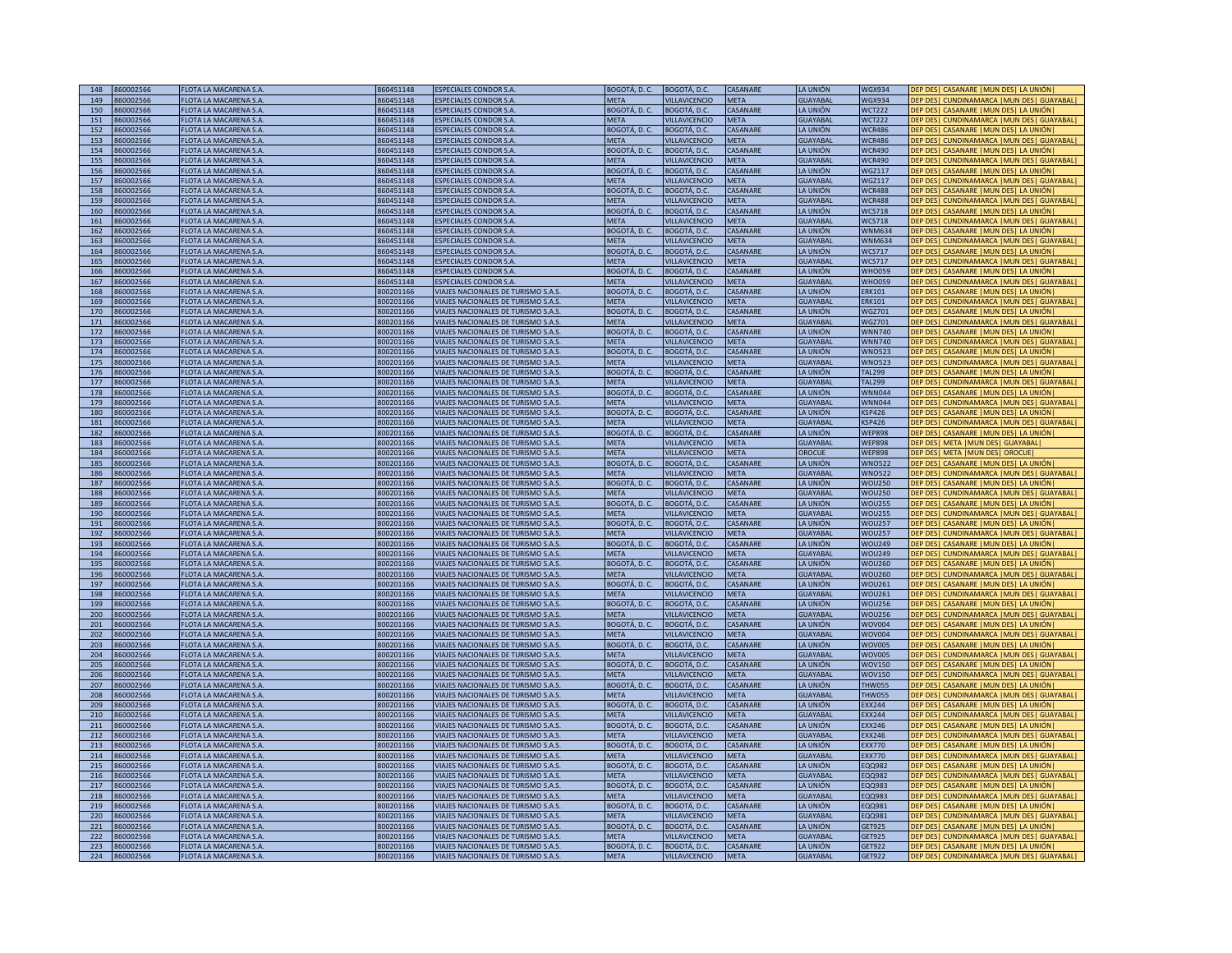| 148        | 860002566            | FLOTA LA MACARENA S.A                                  | 860451148              | <b>ESPECIALES CONDOR S.A</b>                                                    | BOGOTÁ, D. C.                | BOGOTÁ, D.C                          | CASANARE                | LA UNIÓN                    | <b>WGX934</b>                  | DEP DES  CASANARE   MUN DES  LA UNIÓN                                                |
|------------|----------------------|--------------------------------------------------------|------------------------|---------------------------------------------------------------------------------|------------------------------|--------------------------------------|-------------------------|-----------------------------|--------------------------------|--------------------------------------------------------------------------------------|
| 149        | 860002566            | FLOTA LA MACARENA S.A                                  | 860451148              | <b>ESPECIALES CONDOR S.A</b>                                                    | <b>MFTA</b>                  | VILLAVICENCIO                        | <b>MFTA</b>             | <b>GUAYABAL</b>             | <b>WGX934</b>                  | DEP DESI CUNDINAMARCA IMUN DESI GUAYABALI                                            |
| 150        | 860002566            | FLOTA LA MACARENA S.A                                  | 860451148              | <b>ESPECIALES CONDOR S.A</b>                                                    | BOGOTÁ, D. C.                | BOGOTÁ, D.C.                         | CASANARE                | LA UNIÓN                    | <b>WCT222</b>                  | DEP DES   CASANARE   MUN DES   LA UNIÓN                                              |
|            |                      |                                                        |                        |                                                                                 |                              |                                      |                         |                             |                                |                                                                                      |
| 151        | 860002566            | FLOTA LA MACARENA S.A                                  | 860451148              | <b>ESPECIALES CONDOR S.A</b>                                                    | <b>META</b>                  | <b>VILLAVICENCIO</b>                 | <b>META</b>             | <b>GUAYABAL</b>             | <b>WCT222</b>                  | DEP DES   CUNDINAMARCA   MUN DES   GUAYABAL                                          |
| 152        | 860002566            | FLOTA LA MACARENA S.A                                  | 860451148              | ESPECIALES CONDOR S.A.                                                          | BOGOTÁ, D. C.                | BOGOTÁ, D.C.                         | CASANARE                | LA UNIÓN                    | <b>WCR486</b>                  | DEP DES  CASANARE   MUN DES  LA UNIÓN                                                |
| 153        | 860002566            | FLOTA LA MACARENA S.A.                                 | 860451148              | <b>ESPECIALES CONDOR S.A</b>                                                    | <b>META</b>                  | VILLAVICENCIO                        | META                    | <b>GUAYABAL</b>             | <b>WCR486</b>                  | DEP DES   CUNDINAMARCA   MUN DES   GUAYABAL                                          |
| 154        | 360002566            | FLOTA LA MACARENA S.A.                                 | 860451148              | SPECIALES CONDOR S.A.                                                           | BOGOTÁ, D. C.                | BOGOTÁ, D.C.                         | CASANARE                | LA UNIÓN                    | <b>WCR490</b>                  | DEP DESI CASANARE IMUN DESI LA UNIÓNI                                                |
| 155        | 860002566            | FLOTA LA MACARENA S.A.                                 | 860451148              | SPECIALES CONDOR S.A.                                                           | <b>META</b>                  | VILLAVICENCIO                        | META                    | <b>GUAYABAL</b>             | <b>NCR490</b>                  | DEP DES   CUNDINAMARCA   MUN DES   GUAYABAL                                          |
| 156        | 360002566            | FLOTA LA MACARENA S.A.                                 | 860451148              | <b>SPECIALES CONDOR S.A.</b>                                                    | BOGOTÁ, D. C.                | <b>BOGOTÁ, D.C.</b>                  | CASANARE                | LA UNIÓN                    | <b>NGZ117</b>                  | DEP DES   CASANARE   MUN DES   LA UNIÓN                                              |
| 157        |                      |                                                        |                        |                                                                                 |                              |                                      |                         |                             |                                |                                                                                      |
|            | 360002566            | FLOTA LA MACARENA S.A.                                 | 860451148              | SPECIALES CONDOR S.A.                                                           | <b>META</b>                  | <b>ILLAVICENCIO</b>                  | <b>META</b>             | <b>GUAYABAL</b>             | VGZ117                         | DEP DES   CUNDINAMARCA   MUN DES   GUAYABAL                                          |
| 158        | 60002566             | LOTA LA MACARENA S.A                                   | 860451148              | SPECIALES CONDOR S.A                                                            | 3OGOTÁ, D. C.                | 30GOTÁ, D.C.                         | <b>ASANARE</b>          | LA UNIÓN                    | <b>VCR488</b>                  | DEP DES   CASANARE   MUN DES   LA UNIÓN                                              |
| 159        | 60002566             | FLOTA LA MACARENA S.A                                  | 860451148              | <b>SPECIALES CONDOR S.A</b>                                                     | <b>META</b>                  | VILLAVICENCIO                        | META                    | <b>GUAYABAL</b>             | <b>WCR488</b>                  | DEP DES   CUNDINAMARCA   MUN DES   GUAYABAL                                          |
| 160        | 860002566            | FLOTA LA MACARENA S.A.                                 | 860451148              | ESPECIALES CONDOR S.A.                                                          | BOGOTÁ, D. C.                | BOGOTÁ, D.C.                         | CASANARE                | LA UNIÓN                    | <b>WCS718</b>                  | DEP DES   CASANARE   MUN DES   LA UNIÓN                                              |
| 161        | 860002566            | FLOTA LA MACARENA S.A                                  | 860451148              | <b>ESPECIALES CONDOR S.A.</b>                                                   | META                         | VILLAVICENCIO                        | META                    | <b>GUAYABAL</b>             | <b>WCS718</b>                  | DEP DES   CUNDINAMARCA   MUN DES   GUAYABAL                                          |
| 162        | 360002566            | FLOTA LA MACARENA S.A                                  | 860451148              | ESPECIALES CONDOR S.A                                                           | BOGOTÁ, D. C.                | BOGOTÁ, D.C.                         | CASANARE                | LA UNIÓN                    | <b>WNM634</b>                  | DEP DES   CASANARE   MUN DES   LA UNIÓN                                              |
| 163        |                      | FLOTA LA MACARENA S.A                                  | 860451148              | <b>ESPECIALES CONDOR S.A</b>                                                    | <b>META</b>                  | VILLAVICENCIO                        | <b>META</b>             | <b>GUAYABAL</b>             | <b>WNM634</b>                  | DEP DES   CUNDINAMARCA   MUN DES   GUAYABAL                                          |
|            | 360002566            |                                                        |                        |                                                                                 |                              |                                      |                         |                             |                                |                                                                                      |
| 164        | 360002566            | <b>FLOTA LA MACARENA S.A</b>                           | 860451148              | <b>ESPECIALES CONDOR S.A</b>                                                    | BOGOTÁ, D. C.                | <b>BOGOTÁ, D.C.</b>                  | CASANARE                | LA UNIÓN                    | <b>WCS717</b>                  | DEP DES  CASANARE   MUN DES  LA UNIÓN                                                |
| 165        | 360002566            | <b>FLOTA LA MACARENA S.A</b>                           | 860451148              | <b>ESPECIALES CONDOR S.A</b>                                                    | <b>META</b>                  | <b>ILLAVICENCIO</b>                  | META                    | <b>GUAYABAL</b>             | <b>WCS717</b>                  | DEP DESI CUNDINAMARCA IMUN DESI GUAYABALI                                            |
| 166        | 360002566            | FLOTA LA MACARENA S.A                                  | 860451148              | <b>ESPECIALES CONDOR S.A</b>                                                    | BOGOTÁ, D. C.                | BOGOTÁ, D.C.                         | CASANARE                | LA UNIÓN                    | <b>WHO059</b>                  | DEP DES   CASANARE   MUN DES   LA UNIÓN                                              |
| 167        | 860002566            | FLOTA LA MACARENA S.A                                  | 860451148              | <b>ESPECIALES CONDOR S.A.</b>                                                   | <b>META</b>                  | <b>VILLAVICENCIO</b>                 | <b>META</b>             | <b>GUAYABAL</b>             | <b>WHO059</b>                  | DEP DES   CUNDINAMARCA   MUN DES   GUAYABAL                                          |
| 168        | 860002566            | FLOTA LA MACARENA S.A                                  | 800201166              | VIAJES NACIONALES DE TURISMO S.A.S                                              | BOGOTÁ, D. C.                | BOGOTÁ, D.C.                         | CASANARE                | LA UNIÓN                    | <b>ERK101</b>                  | DEP DES   CASANARE   MUN DES   LA UNIÓN                                              |
| 169        | 860002566            | FLOTA LA MACARENA S.A.                                 | 800201166              | VIAJES NACIONALES DE TURISMO S.A.S                                              | <b>MFTA</b>                  | VILLAVICENCIO                        | <b>META</b>             | <b>GUAYABAL</b>             | <b>ERK101</b>                  | DEP DES   CUNDINAMARCA   MUN DES   GUAYABAL                                          |
|            |                      |                                                        |                        |                                                                                 |                              |                                      |                         |                             |                                |                                                                                      |
| 170        | 860002566            | <b>FLOTA LA MACARENA S.A</b>                           | 800201166              | VIAJES NACIONALES DE TURISMO S.A.S.                                             | BOGOTÁ, D. C.                | BOGOTÁ, D.C.                         | CASANARE                | LA UNIÓN                    | <b>WGZ701</b>                  | DEP DES  CASANARE   MUN DES  LA UNIÓN                                                |
| 171        | 860002566            | <b>FLOTA LA MACARENA S.A.</b>                          | 800201166              | VIAJES NACIONALES DE TURISMO S.A.S.                                             | <b>MFTA</b>                  | <b>VILLAVICENCIO</b>                 | <b>MFTA</b>             | <b>GUAYABAL</b>             | WG7701                         | DEP DES   CUNDINAMARCA   MUN DES   GUAYABAL                                          |
| 172        | 360002566            | <b>FLOTA LA MACARENA S.A.</b>                          | 800201166              | VIAJES NACIONALES DE TURISMO S.A.S                                              | BOGOTÁ, D. C.                | 3OGOTÁ, D.C.                         | CASANARE                | A UNIÓN                     | <b>WNN740</b>                  | DEP DES  CASANARE   MUN DES  LA UNIÓN                                                |
| 173        | 360002566            | FLOTA LA MACARENA S.A.                                 | 800201166              | <b>IAJES NACIONALES DE TURISMO S.A.S</b>                                        | META                         | <b>ILLAVICENCIO</b>                  | META                    | GUAYABAL                    | <b>NNN740</b>                  | DEP DES   CUNDINAMARCA   MUN DES   GUAYABAL                                          |
| 174        | 360002566            | <b>IOTA LA MACARENA S.A</b>                            | 800201166              | <b>IAJES NACIONALES DE TURISMO S.A.S.</b>                                       | BOGOTÁ, D. C.                | 3OGOTÁ, D.C.                         | CASANARE                | LA UNIÓN                    | <b>NNO523</b>                  | DEP DES  CASANARE  MUN DES  LA UNIÓN                                                 |
| 175        | 60002566             | LOTA LA MACARENA S.A                                   | 800201166              | IAJES NACIONALES DE TURISMO S.A.S                                               | <b>MFTA</b>                  | ILLAVICENCIO                         | META                    | <b>GUAYABAL</b>             | <b>VNO523</b>                  | DEP DES   CUNDINAMARCA   MUN DES   GUAYABAL                                          |
| 176        | 60002566             | FLOTA LA MACARENA S.A                                  | 800201166              | VIAJES NACIONALES DE TURISMO S.A.S                                              | BOGOTÁ. D. C.                | 3OGOTÁ. D.C.                         | CASANARE                | LA UNIÓN                    | <b>TAL299</b>                  | DEP DES   CASANARE   MUN DES   LA UNIÓN                                              |
|            |                      |                                                        |                        |                                                                                 |                              |                                      |                         |                             |                                |                                                                                      |
| 177        | 360002566            | FLOTA LA MACARENA S.A.                                 | 800201166              | VIAJES NACIONALES DE TURISMO S.A.S                                              | <b>META</b>                  | VILLAVICENCIO                        | <b>META</b>             | <b>GUAYABAL</b>             | <b>TAL299</b>                  | DEP DES   CUNDINAMARCA   MUN DES   GUAYABAL                                          |
| 178        | 860002566            | FLOTA LA MACARENA S.A.                                 | 800201166              | VIAJES NACIONALES DE TURISMO S.A.S                                              | BOGOTÁ, D. C.                | BOGOTÁ, D.C.                         | CASANARF                | LA UNIÓN                    | <b>WNN044</b>                  | DEP DES  CASANARE   MUN DES  LA UNIÓN                                                |
| 179        | 360002566            | FLOTA LA MACARENA S.A                                  | 800201166              | VIAJES NACIONALES DE TURISMO S.A.S                                              | <b>META</b>                  | VILLAVICENCIO                        | META                    | <b>GUAYABAL</b>             | <b>WNN044</b>                  | DEP DES   CUNDINAMARCA   MUN DES   GUAYABAL                                          |
| 180        | 360002566            | <b>FLOTA LA MACARENA S.A.</b>                          | 800201166              | VIAJES NACIONALES DE TURISMO S.A.S                                              | BOGOTÁ, D. C.                | BOGOTÁ, D.C.                         | CASANARE                | LA UNIÓN                    | <b>KSP426</b>                  | DEP DES  CASANARE   MUN DES  LA UNIÓN                                                |
| 181        | 360002566            | <b>FLOTA LA MACARENA S.A</b>                           | 800201166              | VIAJES NACIONALES DE TURISMO S.A.S                                              | <b>META</b>                  | <b>VILLAVICENCIO</b>                 | <b>META</b>             | <b>GUAYABAL</b>             | <b>KSP426</b>                  | DEP DES   CUNDINAMARCA   MUN DES   GUAYABAL                                          |
| 182        | 360002566            | <b>FLOTA LA MACARENA S.A</b>                           | 800201166              | VIAJES NACIONALES DE TURISMO S.A.S                                              | BOGOTÁ, D. C.                | <b>BOGOTÁ, D.C.</b>                  | CASANARE                | LA UNIÓN                    | <b>WEP898</b>                  | DEP DESI CASANARE IMUN DESI LA UNIÓNI                                                |
|            |                      |                                                        |                        |                                                                                 |                              |                                      |                         |                             |                                |                                                                                      |
| 183        | 360002566            | FLOTA LA MACARENA S.A                                  | 800201166              | VIAJES NACIONALES DE TURISMO S.A.S                                              | <b>META</b>                  | <b>VILLAVICENCIO</b>                 | <b>MFTA</b>             | <b>GUAYABAL</b>             | WFP898                         | DEP DES   META   MUN DES   GUAYABAL                                                  |
| 184        | 360002566            | FLOTA LA MACARENA S.A                                  | 800201166              | VIAJES NACIONALES DE TURISMO S.A.S                                              | <b>META</b>                  | <b>VILLAVICENCIO</b>                 | <b>META</b>             | <b>OROCUE</b>               | <b>WEP898</b>                  | DEP DESI META IMUN DESI OROCUEI                                                      |
| 185        | 860002566            | FLOTA LA MACARENA S.A.                                 | 800201166              | VIAJES NACIONALES DE TURISMO S.A.S                                              | BOGOTÁ, D. C.                | BOGOTÁ, D.C.                         | CASANARE                | LA UNIÓN                    | <b>WNO522</b>                  | DEP DES   CASANARE   MUN DES   LA UNIÓN                                              |
| 186        | 860002566            | FLOTA LA MACARENA S.A                                  | 800201166              | VIAJES NACIONALES DE TURISMO S.A.S                                              | <b>META</b>                  | VILLAVICENCIO                        | <b>META</b>             | <b>GUAYABAL</b>             | <b>WNO522</b>                  | DEP DES   CUNDINAMARCA   MUN DES   GUAYABAL                                          |
| 187        | 360002566            | FLOTA LA MACARENA S.A.                                 | 800201166              | VIAJES NACIONALES DE TURISMO S.A.S                                              | BOGOTÁ, D. C.                | BOGOTÁ, D.C.                         | CASANARE                | LA UNIÓN                    | <b>WOU250</b>                  | DEP DES  CASANARE  MUN DES  LA UNIÓN                                                 |
| 188        | 360002566            | <b>FLOTA LA MACARENA S.A.</b>                          | 800201166              | VIAJES NACIONALES DE TURISMO S.A.S.                                             | <b>META</b>                  | <b>VILLAVICENCIO</b>                 | <b>MFTA</b>             | <b>GUAYABAL</b>             | <b>WOU250</b>                  | DEP DES   CUNDINAMARCA   MUN DES   GUAYABAL                                          |
| 189        | 360002566            | FLOTA LA MACARENA S.A.                                 | 800201166              | VIAJES NACIONALES DE TURISMO S.A.S                                              | BOGOTÁ, D. C.                | BOGOTÁ, D.C.                         | CASANARE                | LA UNIÓN                    | <b>WOU255</b>                  | DEP DES   CASANARE   MUN DES   LA UNIÓN                                              |
|            |                      |                                                        |                        |                                                                                 |                              |                                      |                         |                             |                                |                                                                                      |
| 190        | 360002566            | <b>FLOTA LA MACARENA S.A.</b>                          | 300201166              | VIAJES NACIONALES DE TURISMO S.A.S                                              | <b>META</b>                  | <b>ILLAVICENCIO</b>                  | <b>META</b>             | <b>GUAYABAL</b>             | <b>WOU255</b>                  | DEP DES   CUNDINAMARCA   MUN DES   GUAYABAL                                          |
| 191        | 360002566            | FLOTA LA MACARENA S.A.                                 | 300201166              | VIAJES NACIONALES DE TURISMO S.A.S.                                             | BOGOTÁ, D. C.                | 3OGOTÁ, D.C.                         | CASANARE                | LA UNIÓN                    | <b>NOU257</b>                  | DEP DES  CASANARE   MUN DES  LA UNIÓN                                                |
| 192        | 360002566            | <b>FLOTA LA MACARENA S.A</b>                           | 800201166              | VIAJES NACIONALES DE TURISMO S.A.S                                              | <b>META</b>                  | VILLAVICENCIO                        | <b>META</b>             | <b>GUAYABAL</b>             | <b>WOU257</b>                  | DEP DES   CUNDINAMARCA   MUN DES   GUAYABAL                                          |
| 193        | 360002566            | FLOTA LA MACARENA S.A                                  | 800201166              | VIAJES NACIONALES DE TURISMO S.A.S                                              | BOGOTÁ, D. C.                | BOGOTÁ, D.C.                         | CASANARE                | LA UNIÓN                    | <b>WOU249</b>                  | DEP DES  CASANARE  MUN DES  LA UNIÓN                                                 |
| 194        | 360002566            | FLOTA LA MACARENA S.A                                  | 800201166              | VIAJES NACIONALES DE TURISMO S.A.S                                              | <b>META</b>                  | VILLAVICENCIO                        | META                    | <b>GUAYABAL</b>             | <b>WOU249</b>                  | DEP DES   CUNDINAMARCA   MUN DES   GUAYABAL                                          |
| 195        | 860002566            | FLOTA LA MACARENA S.A.                                 | 800201166              | VIAJES NACIONALES DE TURISMO S.A.S                                              | BOGOTÁ, D. C.                | BOGOTÁ, D.C.                         | CASANARE                | LA UNIÓN                    |                                |                                                                                      |
|            |                      |                                                        |                        | VIAJES NACIONALES DE TURISMO S.A.S                                              | <b>META</b>                  |                                      |                         |                             |                                |                                                                                      |
| 196        | 360002566            | FLOTA LA MACARENA S.A                                  | 800201166              |                                                                                 |                              |                                      |                         |                             | <b>WOU260</b>                  | DEP DES   CASANARE   MUN DES   LA UNIÓN                                              |
| 197        | 360002566            | <b>FLOTA LA MACARENA S.A</b>                           |                        |                                                                                 |                              | VILLAVICENCIO                        | META                    | GUAYABAL                    | <b>WOU260</b>                  | DEP DES   CUNDINAMARCA   MUN DES   GUAYABAL                                          |
| 198        | 360002566            |                                                        | 800201166              | VIAJES NACIONALES DE TURISMO S.A.S                                              | BOGOTÁ, D. C.                | BOGOTÁ, D.C.                         | CASANARE                | LA UNIÓN                    | <b>WOU261</b>                  | DEP DES  CASANARE  MUN DES  LA UNIÓN                                                 |
| 199        |                      | <b>FLOTA LA MACARENA S.A</b>                           | 800201166              | VIAJES NACIONALES DE TURISMO S.A.S                                              | <b>META</b>                  | <b>VILLAVICENCIO</b>                 | <b>META</b>             | <b>GUAYABAL</b>             | <b>WOU261</b>                  | DEP DESI CUNDINAMARCA IMUN DESI GUAYABALI                                            |
|            | 360002566            | FLOTA LA MACARENA S.A                                  | 800201166              | VIAJES NACIONALES DE TURISMO S.A.S                                              | BOGOTÁ, D. C.                | BOGOTÁ, D.C.                         | CASANARE                | LA UNIÓN                    | <b>WOU256</b>                  | DEP DES  CASANARE  MUN DES  LA UNIÓN                                                 |
| 200        | 360002566            | FLOTA LA MACARENA S.A                                  | 800201166              | VIAJES NACIONALES DE TURISMO S.A.S                                              | <b>MFTA</b>                  | VILLAVICENCIO                        | <b>MFTA</b>             | <b>GUAYABAL</b>             | <b>WOU256</b>                  | DEP DES   CUNDINAMARCA   MUN DES   GUAYABAL                                          |
| 201        | 860002566            |                                                        | 800201166              |                                                                                 |                              |                                      |                         |                             |                                |                                                                                      |
|            |                      | FLOTA LA MACARENA S.A.                                 |                        | VIAJES NACIONALES DE TURISMO S.A.S                                              | BOGOTÁ, D. C.                | BOGOTÁ, D.C.                         | CASANARE                | LA UNIÓN                    | <b>WOV004</b>                  | DEP DES  CASANARE   MUN DES  LA UNIÓN                                                |
| 202        | 860002566            | FLOTA LA MACARENA S.A.                                 | 800201166              | VIAJES NACIONALES DE TURISMO S.A.S                                              | <b>META</b>                  | VILLAVICENCIO                        | <b>META</b>             | <b>GUAYABAL</b>             | <b>WOV004</b>                  | DEP DES   CUNDINAMARCA   MUN DES   GUAYABAL                                          |
| 203        | 860002566            | FLOTA LA MACARENA S.A.                                 | 800201166              | VIAJES NACIONALES DE TURISMO S.A.S                                              | BOGOTÁ, D. C.                | BOGOTÁ, D.C.                         | CASANARE                | LA UNIÓN                    | <b>WOV005</b>                  | DEP DES   CASANARE   MUN DES   LA UNIÓN                                              |
| 204        | 860002566            | <b>FLOTA LA MACARENA S.A</b>                           | 800201166              | VIAJES NACIONALES DE TURISMO S.A.S.                                             | <b>META</b>                  | <b>VILLAVICENCIO</b>                 | <b>META</b>             | <b>GUAYABAL</b>             | <b>WOV005</b>                  | DEP DES  CUNDINAMARCA   MUN DES   GUAYABAL                                           |
| 205        | 860002566            | FLOTA LA MACARENA S.A.                                 | 800201166              | VIAJES NACIONALES DE TURISMO S.A.S.                                             | BOGOTÁ, D. C.                | BOGOTÁ, D.C.                         | <b>ASANARE</b>          | LA UNIÓN                    | <b>WOV150</b>                  | DEP DES  CASANARE   MUN DES  LA UNIÓN                                                |
| 206        | 360002566            | FLOTA LA MACARENA S.A.                                 | 800201166              | <b>IAJES NACIONALES DE TURISMO S.A.S.</b>                                       | META                         | <b>ILLAVICENCIO</b>                  | META                    | <b>GUAYABAL</b>             | <b>NOV150</b>                  | DEP DES   CUNDINAMARCA   MUN DES   GUAYABAL                                          |
| 207        | 360002566            | LOTA LA MACARENA S.A.                                  | 300201166              | <b>INJES NACIONALES DE TURISMO S.A.S.</b>                                       | BOGOTÁ, D. C.                | <b>BOGOTÁ, D.C.</b>                  | <b>ASANARE</b>          | <b>A UNIÓN</b>              | <b>HW055</b>                   | DEP DES   CASANARE   MUN DES   LA UNIÓN                                              |
| 208        | 360002566            | LOTA LA MACARENA S.A.                                  | 300201166              | <b>IAJES NACIONALES DE TURISMO S.A.S.</b>                                       | <b>META</b>                  | <b>ILLAVICENCIO</b>                  | <b>META</b>             | GUAYABAL                    | <b>HW055</b>                   | DEP DES   CUNDINAMARCA   MUN DES   GUAYABAL                                          |
|            |                      |                                                        |                        |                                                                                 |                              |                                      |                         |                             |                                |                                                                                      |
| 209        | 60002566             | <b>LOTA LA MACARENA S.A</b>                            | 800201166              | VIAJES NACIONALES DE TURISMO S.A.S                                              | BOGOTÁ. D. C.                | 3OGOTÁ. D.C                          | <b>ASANARE</b>          | LA UNIÓN                    | <b>EXX244</b>                  | DEP DES  CASANARE  MUN DES  LA UNIÓN                                                 |
| 210        | 60002566             | FLOTA LA MACARENA S.A                                  | 800201166              | VIAJES NACIONALES DE TURISMO S.A.S                                              | <b>META</b>                  | VILLAVICENCIO                        | <b>META</b>             | <b>GUAYABAL</b>             | <b>EXX244</b>                  | DEP DESI CUNDINAMARCA IMUN DESI GUAYABAL                                             |
| 211        | 360002566            | FLOTA LA MACARENA S.A                                  | 800201166              | VIAJES NACIONALES DE TURISMO S.A.S                                              | BOGOTÁ, D. C.                | 3OGOTÁ, D.C.                         | CASANARE                | LA UNIÓN                    | EXX246                         | DEP DES  CASANARE   MUN DES  LA UNIÓN                                                |
| 212        | 860002566            | FLOTA LA MACARENA S.A.                                 | 800201166              | VIAJES NACIONALES DE TURISMO S.A.S                                              | <b>META</b>                  | VILLAVICENCIO                        | <b>META</b>             | <b>GUAYABAL</b>             | <b>EXX246</b>                  | DEP DES   CUNDINAMARCA   MUN DES   GUAYABAL                                          |
| 213        | 360002566            | FLOTA LA MACARENA S.A.                                 | 800201166              | VIAJES NACIONALES DE TURISMO S.A.S                                              | BOGOTÁ, D. C.                | BOGOTÁ, D.C.                         | CASANARE                | LA UNIÓN                    | <b>FXX770</b>                  | DEP DES   CASANARE   MUN DES   LA UNIÓN                                              |
| 214        | 360002566            | FLOTA LA MACARENA S.A                                  | 800201166              | VIAJES NACIONALES DE TURISMO S.A.S                                              | <b>META</b>                  | VILLAVICENCIO                        | META                    | GUAYABAL                    | <b>EXX770</b>                  | DEP DES   CUNDINAMARCA   MUN DES   GUAYABAL                                          |
| 215        | 360002566            | <b>FLOTA LA MACARENA S.A</b>                           | 800201166              | VIAJES NACIONALES DE TURISMO S.A.S                                              | BOGOTÁ, D. C.                | BOGOTÁ, D.C.                         | CASANARE                | LA UNIÓN                    | EQ0982                         | DEP DESI CASANARE IMUN DESI LA UNIÓNI                                                |
|            |                      |                                                        |                        |                                                                                 |                              |                                      |                         |                             |                                |                                                                                      |
| 216        | 360002566            | FLOTA LA MACARENA S.A                                  | 800201166              | VIAJES NACIONALES DE TURISMO S.A.S                                              | <b>MFTA</b>                  | VILLAVICENCIO                        | <b>META</b>             | <b>GUAYABAL</b>             | EQQ982                         | DEP DESI CUNDINAMARCA IMUN DESI GUAYABALI                                            |
| 217        | 360002566            | FLOTA LA MACARENA S.A                                  | 800201166              | VIAJES NACIONALES DE TURISMO S.A.S                                              | BOGOTÁ, D. C.                | BOGOTÁ, D.C.                         | CASANARE                | LA UNIÓN                    | EQQ983                         | DEP DES  CASANARE   MUN DES  LA UNIÓN                                                |
| 218        | 860002566            | FLOTA LA MACARENA S.A                                  | 800201166              | VIAJES NACIONALES DE TURISMO S.A.S                                              | <b>META</b>                  | <b>VILLAVICENCIO</b>                 | <b>META</b>             | <b>GUAYABAL</b>             | <b>EQQ983</b>                  | DEP DES  CUNDINAMARCA   MUN DES  GUAYABAL                                            |
| 219        | 860002566            | FLOTA LA MACARENA S.A                                  | 800201166              | VIAJES NACIONALES DE TURISMO S.A.S                                              | BOGOTÁ, D. C.                | BOGOTÁ, D.C.                         | CASANARE                | LA UNIÓN                    | EQQ981                         | DEP DES   CASANARE   MUN DES   LA UNIÓN                                              |
| 220        | 860002566            | FLOTA LA MACARENA S.A.                                 | 800201166              | VIAJES NACIONALES DE TURISMO S.A.S                                              | <b>META</b>                  | VILLAVICENCIO                        | META                    | <b>GUAYABAL</b>             | EQQ981                         | DEP DES   CUNDINAMARCA   MUN DES   GUAYABAL                                          |
| 221        | 860002566            | <b>FLOTA LA MACARENA S.A</b>                           | 800201166              |                                                                                 |                              |                                      | CASANARE                |                             |                                |                                                                                      |
|            |                      |                                                        |                        | <b>IAJES NACIONALES DE TURISMO S.A.S</b>                                        | BOGOTÁ, D. C.                | BOGOTÁ, D.C.                         |                         | LA UNIÓN                    | GET925                         | DEP DES  CASANARE  MUN DES  LA UNIÓN                                                 |
| 222        | 360002566            | <b>FLOTA LA MACARENA S.A</b>                           | 800201166              | VIAJES NACIONALES DE TURISMO S.A.S.                                             | <b>META</b>                  | VILLAVICENCIO                        | <b>META</b>             | <b>GUAYABAL</b>             | <b>GET925</b>                  | DEP DES   CUNDINAMARCA   MUN DES   GUAYABAL                                          |
| 223<br>224 | 60002566<br>60002566 | <b>FLOTA LA MACARENA S.A.</b><br>FLOTA LA MACARENA S.A | 300201166<br>800201166 | <b>INDES NACIONALES DE TURISMO S.A.S.</b><br>VIAJES NACIONALES DE TURISMO S.A.S | BOGOTÁ, D. C.<br><b>META</b> | <b>BOGOTÁ, D.C.</b><br>VILLAVICENCIO | CASANARE<br><b>META</b> | LA UNIÓN<br><b>GUAYABAI</b> | <b>SET922</b><br><b>GET922</b> | DEP DES  CASANARE  MUN DES  LA UNIÓN <br>DEP DES   CUNDINAMARCA   MUN DES   GUAYABAL |